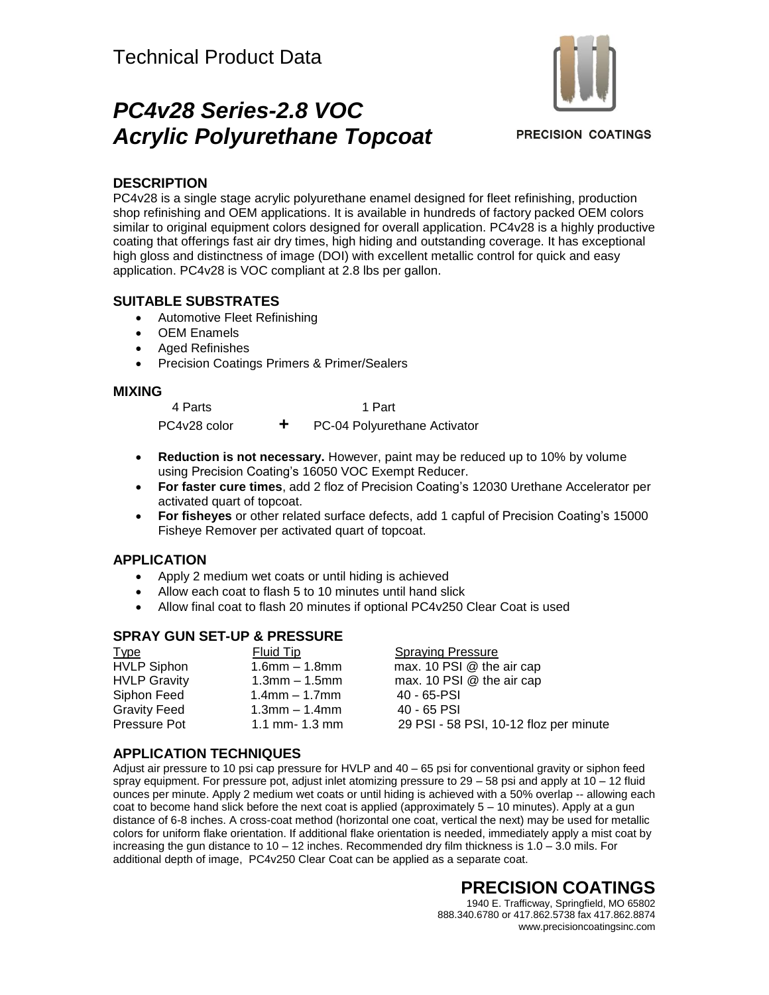# *PC4v28 Series-2.8 VOC Acrylic Polyurethane Topcoat*



**PRECISION COATINGS** 

#### **DESCRIPTION**

PC4v28 is a single stage acrylic polyurethane enamel designed for fleet refinishing, production shop refinishing and OEM applications. It is available in hundreds of factory packed OEM colors similar to original equipment colors designed for overall application. PC4v28 is a highly productive coating that offerings fast air dry times, high hiding and outstanding coverage. It has exceptional high gloss and distinctness of image (DOI) with excellent metallic control for quick and easy application. PC4v28 is VOC compliant at 2.8 lbs per gallon.

#### **SUITABLE SUBSTRATES**

- Automotive Fleet Refinishing
- OEM Enamels
- Aged Refinishes
- Precision Coatings Primers & Primer/Sealers

#### **MIXING**

 4 Parts 1 Part PC4v28 color **+** PC-04 Polyurethane Activator

- **Reduction is not necessary.** However, paint may be reduced up to 10% by volume using Precision Coating's 16050 VOC Exempt Reducer.
- **For faster cure times**, add 2 floz of Precision Coating's 12030 Urethane Accelerator per activated quart of topcoat.
- **For fisheyes** or other related surface defects, add 1 capful of Precision Coating's 15000 Fisheye Remover per activated quart of topcoat.

#### **APPLICATION**

- Apply 2 medium wet coats or until hiding is achieved
- Allow each coat to flash 5 to 10 minutes until hand slick
- Allow final coat to flash 20 minutes if optional PC4v250 Clear Coat is used

#### **SPRAY GUN SET-UP & PRESSURE**

| <b>Type</b>         | Fluid Tip           | <b>Spraying Pressure</b>               |
|---------------------|---------------------|----------------------------------------|
| <b>HVLP Siphon</b>  | $1.6$ mm $- 1.8$ mm | max. 10 PSI @ the air cap              |
| <b>HVLP Gravity</b> | $1.3$ mm $-1.5$ mm  | max. 10 PSI @ the air cap              |
| Siphon Feed         | $1.4$ mm $- 1.7$ mm | 40 - 65-PSI                            |
| <b>Gravity Feed</b> | $1.3$ mm $-1.4$ mm  | 40 - 65 PSI                            |
| Pressure Pot        | 1.1 mm- $1.3$ mm    | 29 PSI - 58 PSI, 10-12 floz per minute |
|                     |                     |                                        |

#### **APPLICATION TECHNIQUES**

Adjust air pressure to 10 psi cap pressure for HVLP and 40 – 65 psi for conventional gravity or siphon feed spray equipment. For pressure pot, adjust inlet atomizing pressure to 29 – 58 psi and apply at 10 – 12 fluid ounces per minute. Apply 2 medium wet coats or until hiding is achieved with a 50% overlap -- allowing each coat to become hand slick before the next coat is applied (approximately 5 – 10 minutes). Apply at a gun distance of 6-8 inches. A cross-coat method (horizontal one coat, vertical the next) may be used for metallic colors for uniform flake orientation. If additional flake orientation is needed, immediately apply a mist coat by increasing the gun distance to 10 – 12 inches. Recommended dry film thickness is 1.0 – 3.0 mils. For additional depth of image, PC4v250 Clear Coat can be applied as a separate coat.

### **PRECISION COATINGS**

1940 E. Trafficway, Springfield, MO 65802 888.340.6780 or 417.862.5738 fax 417.862.8874 www.precisioncoatingsinc.com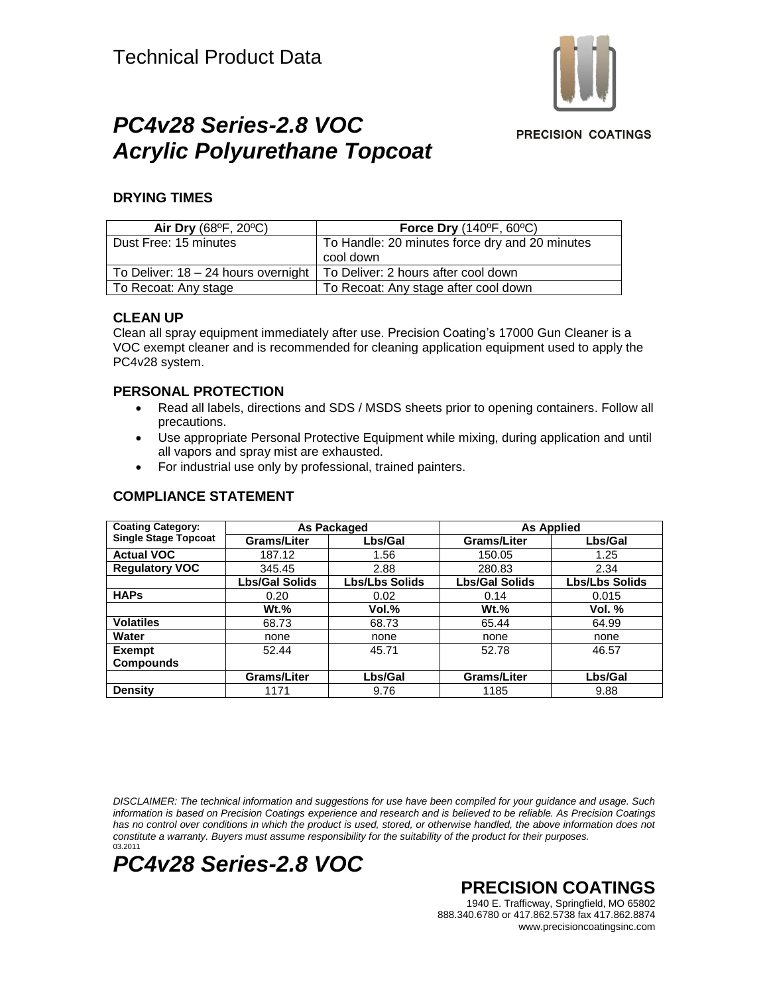

## *PC4v28 Series-2.8 VOC Acrylic Polyurethane Topcoat*

**PRECISION COATINGS** 

#### **DRYING TIMES**

| Air Dry (68°F, 20°C)                | <b>Force Dry (140°F, 60°C)</b>                 |
|-------------------------------------|------------------------------------------------|
| Dust Free: 15 minutes               | To Handle: 20 minutes force dry and 20 minutes |
|                                     | cool down                                      |
| To Deliver: 18 – 24 hours overnight | To Deliver: 2 hours after cool down            |
| To Recoat: Any stage                | To Recoat: Any stage after cool down           |

#### **CLEAN UP**

Clean all spray equipment immediately after use. Precision Coating's 17000 Gun Cleaner is a VOC exempt cleaner and is recommended for cleaning application equipment used to apply the PC4v28 system.

#### **PERSONAL PROTECTION**

- Read all labels, directions and SDS / MSDS sheets prior to opening containers. Follow all precautions.
- Use appropriate Personal Protective Equipment while mixing, during application and until all vapors and spray mist are exhausted.
- For industrial use only by professional, trained painters.

| Coating Category:           | As Packaged           |                       | <b>As Applied</b>     |                       |
|-----------------------------|-----------------------|-----------------------|-----------------------|-----------------------|
| <b>Single Stage Topcoat</b> | <b>Grams/Liter</b>    | Lbs/Gal               | Grams/Liter           | Lbs/Gal               |
| <b>Actual VOC</b>           | 187.12                | 1.56                  | 150.05                | 1.25                  |
| <b>Regulatory VOC</b>       | 345.45                | 2.88                  | 280.83                | 2.34                  |
|                             | <b>Lbs/Gal Solids</b> | <b>Lbs/Lbs Solids</b> | <b>Lbs/Gal Solids</b> | <b>Lbs/Lbs Solids</b> |
| <b>HAPs</b>                 | 0.20                  | 0.02                  | 0.14                  | 0.015                 |
|                             | $Wt.$ %               | Vol.%                 | $Wt.$ %               | Vol. $%$              |
| <b>Volatiles</b>            | 68.73                 | 68.73                 | 65.44                 | 64.99                 |
| Water                       | none                  | none                  | none                  | none                  |
| <b>Exempt</b>               | 52.44                 | 45.71                 | 52.78                 | 46.57                 |
| <b>Compounds</b>            |                       |                       |                       |                       |
|                             | <b>Grams/Liter</b>    | Lbs/Gal               | <b>Grams/Liter</b>    | Lbs/Gal               |
| <b>Density</b>              | 1171                  | 9.76                  | 1185                  | 9.88                  |

#### **COMPLIANCE STATEMENT**

*DISCLAIMER: The technical information and suggestions for use have been compiled for your guidance and usage. Such information is based on Precision Coatings experience and research and is believed to be reliable. As Precision Coatings* has no control over conditions in which the product is used, stored, or otherwise handled, the above information does not *constitute a warranty. Buyers must assume responsibility for the suitability of the product for their purposes.* 03.2011



**PRECISION COATINGS**

1940 E. Trafficway, Springfield, MO 65802 888.340.6780 or 417.862.5738 fax 417.862.8874 www.precisioncoatingsinc.com